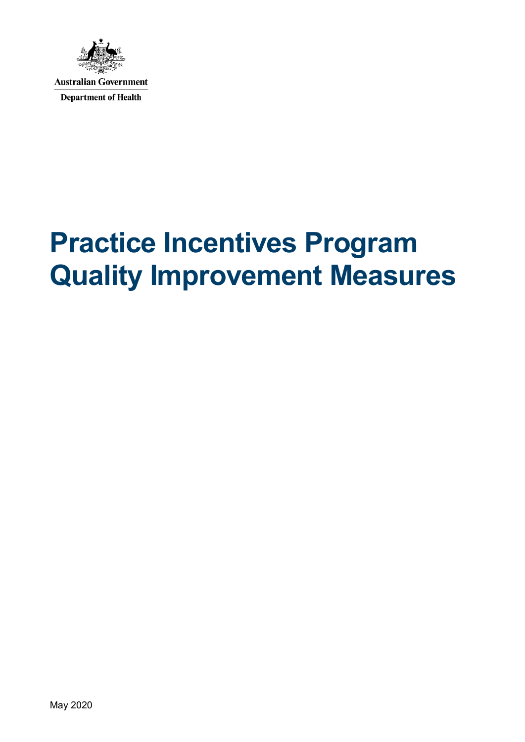

**Australian Government Department of Health** 

# **Practice Incentives Program Quality Improvement Measures**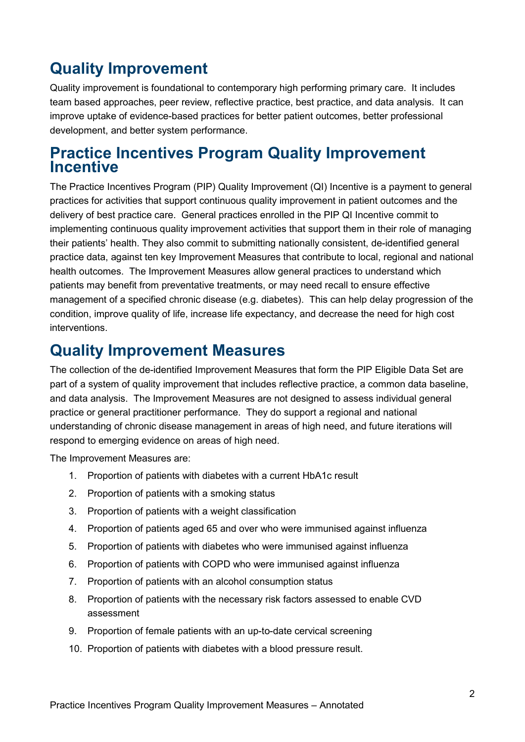# **Quality Improvement**

Quality improvement is foundational to contemporary high performing primary care. It includes team based approaches, peer review, reflective practice, best practice, and data analysis. It can improve uptake of evidence-based practices for better patient outcomes, better professional development, and better system performance.

# **Practice Incentives Program Quality Improvement Incentive**

The Practice Incentives Program (PIP) Quality Improvement (QI) Incentive is a payment to general practices for activities that support continuous quality improvement in patient outcomes and the delivery of best practice care. General practices enrolled in the PIP QI Incentive commit to implementing continuous quality improvement activities that support them in their role of managing their patients' health. They also commit to submitting nationally consistent, de-identified general practice data, against ten key Improvement Measures that contribute to local, regional and national health outcomes. The Improvement Measures allow general practices to understand which patients may benefit from preventative treatments, or may need recall to ensure effective management of a specified chronic disease (e.g. diabetes). This can help delay progression of the condition, improve quality of life, increase life expectancy, and decrease the need for high cost interventions.

# **Quality Improvement Measures**

The collection of the de-identified Improvement Measures that form the PIP Eligible Data Set are part of a system of quality improvement that includes reflective practice, a common data baseline, and data analysis. The Improvement Measures are not designed to assess individual general practice or general practitioner performance. They do support a regional and national understanding of chronic disease management in areas of high need, and future iterations will respond to emerging evidence on areas of high need.

The Improvement Measures are:

- 1. Proportion of patients with diabetes with a current HbA1c result
- 2. Proportion of patients with a smoking status
- 3. Proportion of patients with a weight classification
- 4. Proportion of patients aged 65 and over who were immunised against influenza
- 5. Proportion of patients with diabetes who were immunised against influenza
- 6. Proportion of patients with COPD who were immunised against influenza
- 7. Proportion of patients with an alcohol consumption status
- 8. Proportion of patients with the necessary risk factors assessed to enable CVD assessment
- 9. Proportion of female patients with an up-to-date cervical screening
- 10. Proportion of patients with diabetes with a blood pressure result.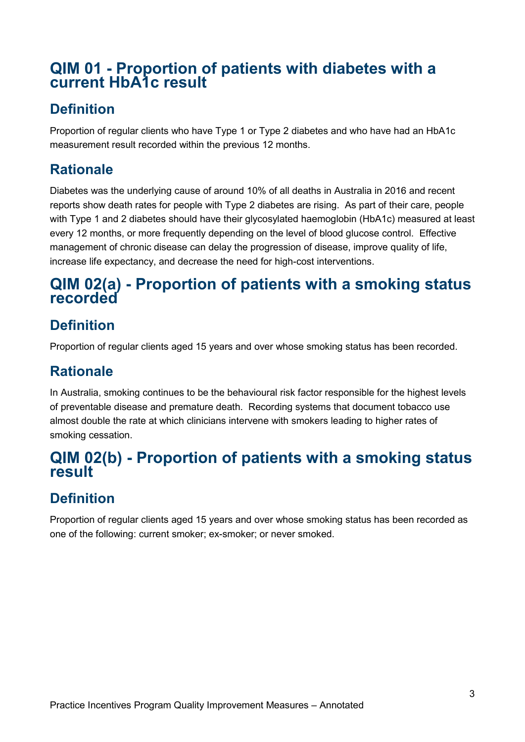# **QIM 01 - Proportion of patients with diabetes with a current HbA1c result**

### **Definition**

Proportion of regular clients who have Type 1 or Type 2 diabetes and who have had an HbA1c measurement result recorded within the previous 12 months.

# **Rationale**

Diabetes was the underlying cause of around 10% of all deaths in Australia in 2016 and recent reports show death rates for people with Type 2 diabetes are rising. As part of their care, people with Type 1 and 2 diabetes should have their glycosylated haemoglobin (HbA1c) measured at least every 12 months, or more frequently depending on the level of blood glucose control. Effective management of chronic disease can delay the progression of disease, improve quality of life, increase life expectancy, and decrease the need for high-cost interventions.

# **QIM 02(a) - Proportion of patients with a smoking status recorded**

# **Definition**

Proportion of regular clients aged 15 years and over whose smoking status has been recorded.

### **Rationale**

In Australia, smoking continues to be the behavioural risk factor responsible for the highest levels of preventable disease and premature death. Recording systems that document tobacco use almost double the rate at which clinicians intervene with smokers leading to higher rates of smoking cessation.

# **QIM 02(b) - Proportion of patients with a smoking status result**

# **Definition**

Proportion of regular clients aged 15 years and over whose smoking status has been recorded as one of the following: current smoker; ex-smoker; or never smoked.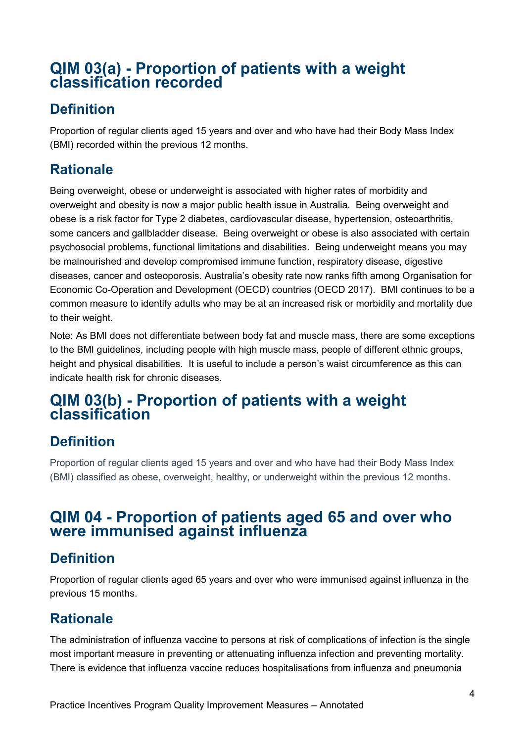# **QIM 03(a) - Proportion of patients with a weight classification recorded**

### **Definition**

Proportion of regular clients aged 15 years and over and who have had their Body Mass Index (BMI) recorded within the previous 12 months.

# **Rationale**

Being overweight, obese or underweight is associated with higher rates of morbidity and overweight and obesity is now a major public health issue in Australia. Being overweight and obese is a risk factor for Type 2 diabetes, cardiovascular disease, hypertension, osteoarthritis, some cancers and gallbladder disease. Being overweight or obese is also associated with certain psychosocial problems, functional limitations and disabilities. Being underweight means you may be malnourished and develop compromised immune function, respiratory disease, digestive diseases, cancer and osteoporosis. Australia's obesity rate now ranks fifth among Organisation for Economic Co-Operation and Development (OECD) countries (OECD 2017). BMI continues to be a common measure to identify adults who may be at an increased risk or morbidity and mortality due to their weight.

Note: As BMI does not differentiate between body fat and muscle mass, there are some exceptions to the BMI guidelines, including people with high muscle mass, people of different ethnic groups, height and physical disabilities. It is useful to include a person's waist circumference as this can indicate health risk for chronic diseases.

# **QIM 03(b) - Proportion of patients with a weight classification**

### **Definition**

Proportion of regular clients aged 15 years and over and who have had their Body Mass Index (BMI) classified as obese, overweight, healthy, or underweight within the previous 12 months.

#### **QIM 04 - Proportion of patients aged 65 and over who were immunised against influenza**

# **Definition**

Proportion of regular clients aged 65 years and over who were immunised against influenza in the previous 15 months.

### **Rationale**

The administration of influenza vaccine to persons at risk of complications of infection is the single most important measure in preventing or attenuating influenza infection and preventing mortality. There is evidence that influenza vaccine reduces hospitalisations from influenza and pneumonia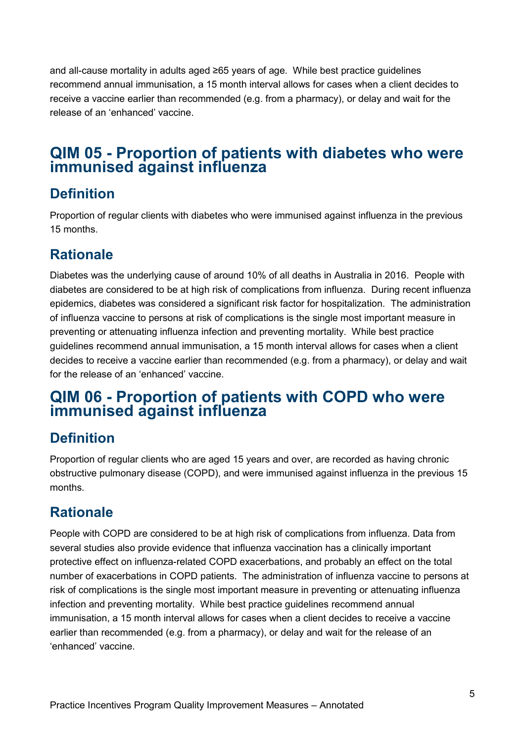and all-cause mortality in adults aged ≥65 years of age. While best practice guidelines recommend annual immunisation, a 15 month interval allows for cases when a client decides to receive a vaccine earlier than recommended (e.g. from a pharmacy), or delay and wait for the release of an 'enhanced' vaccine.

# **QIM 05 - Proportion of patients with diabetes who were immunised against influenza**

#### **Definition**

Proportion of regular clients with diabetes who were immunised against influenza in the previous 15 months.

## **Rationale**

Diabetes was the underlying cause of around 10% of all deaths in Australia in 2016. People with diabetes are considered to be at high risk of complications from influenza. During recent influenza epidemics, diabetes was considered a significant risk factor for hospitalization. The administration of influenza vaccine to persons at risk of complications is the single most important measure in preventing or attenuating influenza infection and preventing mortality. While best practice guidelines recommend annual immunisation, a 15 month interval allows for cases when a client decides to receive a vaccine earlier than recommended (e.g. from a pharmacy), or delay and wait for the release of an 'enhanced' vaccine.

# **QIM 06 - Proportion of patients with COPD who were immunised against influenza**

### **Definition**

Proportion of regular clients who are aged 15 years and over, are recorded as having chronic obstructive pulmonary disease (COPD), and were immunised against influenza in the previous 15 months.

### **Rationale**

People with COPD are considered to be at high risk of complications from influenza. Data from several studies also provide evidence that influenza vaccination has a clinically important protective effect on influenza-related COPD exacerbations, and probably an effect on the total number of exacerbations in COPD patients. The administration of influenza vaccine to persons at risk of complications is the single most important measure in preventing or attenuating influenza infection and preventing mortality. While best practice guidelines recommend annual immunisation, a 15 month interval allows for cases when a client decides to receive a vaccine earlier than recommended (e.g. from a pharmacy), or delay and wait for the release of an 'enhanced' vaccine.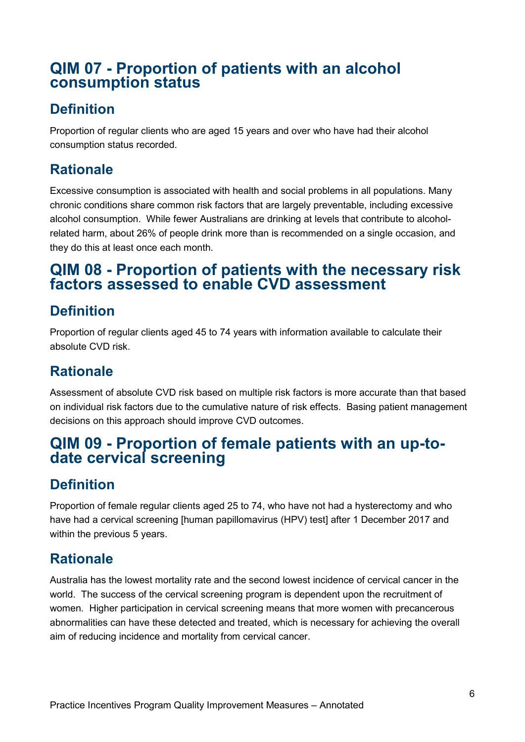### **QIM 07 - Proportion of patients with an alcohol consumption status**

#### **Definition**

Proportion of regular clients who are aged 15 years and over who have had their alcohol consumption status recorded.

### **Rationale**

Excessive consumption is associated with health and social problems in all populations. Many chronic conditions share common risk factors that are largely preventable, including excessive alcohol consumption. While fewer Australians are drinking at levels that contribute to alcoholrelated harm, about 26% of people drink more than is recommended on a single occasion, and they do this at least once each month.

# **QIM 08 - Proportion of patients with the necessary risk factors assessed to enable CVD assessment**

## **Definition**

Proportion of regular clients aged 45 to 74 years with information available to calculate their absolute CVD risk.

## **Rationale**

Assessment of absolute CVD risk based on multiple risk factors is more accurate than that based on individual risk factors due to the cumulative nature of risk effects. Basing patient management decisions on this approach should improve CVD outcomes.

# **QIM 09 - Proportion of female patients with an up-to- date cervical screening**

# **Definition**

Proportion of female regular clients aged 25 to 74, who have not had a hysterectomy and who have had a cervical screening [human papillomavirus (HPV) test] after 1 December 2017 and within the previous 5 years.

### **Rationale**

Australia has the lowest mortality rate and the second lowest incidence of cervical cancer in the world. The success of the cervical screening program is dependent upon the recruitment of women. Higher participation in cervical screening means that more women with precancerous abnormalities can have these detected and treated, which is necessary for achieving the overall aim of reducing incidence and mortality from cervical cancer.